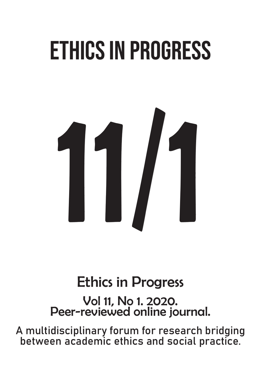# Ethics in Progress



## Ethics in Progress

Vol 11, No 1. 2020. Peer-reviewed online journal.

A multidisciplinary forum for research bridging between academic ethics and social practice.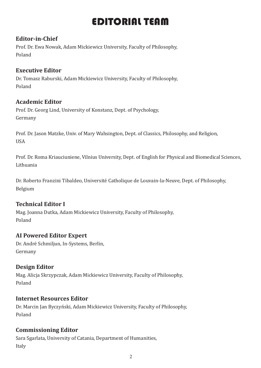### EDITORIAL TEAM

#### **Editor-in-Chief**

Prof. Dr. Ewa Nowak, Adam Mickiewicz University, Faculty of Philosophy, Poland

#### **Executive Editor**

Dr. Tomasz Raburski, Adam Mickiewicz University, Faculty of Philosophy, Poland

#### **Academic Editor**

Prof. Dr. Georg Lind, University of Konstanz, Dept. of Psychology, Germany

Prof. Dr. Jason Matzke, Univ. of Mary Wahsington, Dept. of Classics, Philosophy, and Religion, USA

Prof. Dr. Roma Kriauciuniene, Vilnius University, Dept. of English for Physical and Biomedical Sciences, Lithuania

Dr. Roberto Franzini Tibaldeo, Université Catholique de Louvain-la-Neuve, Dept. of Philosophy, Belgium

#### **Technical Editor I**

Mag. Joanna Dutka, Adam Mickiewicz University, Faculty of Philosophy, Poland

#### **AI Powered Editor Expert**

Dr. André Schmiljun, In-Systems, Berlin, Germany

#### **Design Editor**

Mag. Alicja Skrzypczak, Adam Mickiewicz University, Faculty of Philosophy, Poland

#### **Internet Resources Editor**

Dr. Marcin Jan Byczyński, Adam Mickiewicz University, Faculty of Philosophy, Poland

#### **Commissioning Editor**

Sara Sgarlata, University of Catania, Department of Humanities, Italy